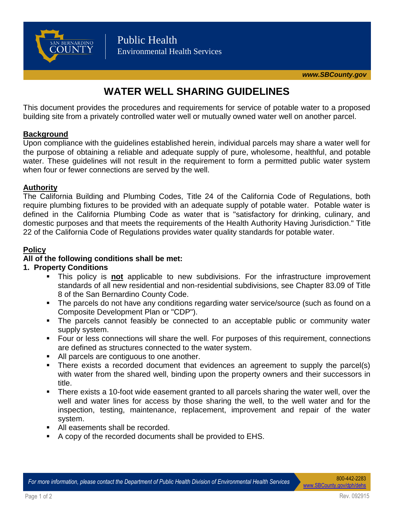

# **WATER WELL SHARING GUIDELINES**

This document provides the procedures and requirements for service of potable water to a proposed building site from a privately controlled water well or mutually owned water well on another parcel.

# **Background**

Upon compliance with the guidelines established herein, individual parcels may share a water well for the purpose of obtaining a reliable and adequate supply of pure, wholesome, healthful, and potable water. These guidelines will not result in the requirement to form a permitted public water system when four or fewer connections are served by the well.

# **Authority**

The California Building and Plumbing Codes, Title 24 of the California Code of Regulations, both require plumbing fixtures to be provided with an adequate supply of potable water. Potable water is defined in the California Plumbing Code as water that is "satisfactory for drinking, culinary, and domestic purposes and that meets the requirements of the Health Authority Having Jurisdiction." Title 22 of the California Code of Regulations provides water quality standards for potable water.

# **Policy**

# **All of the following conditions shall be met:**

## **1. Property Conditions**

- This policy is **not** applicable to new subdivisions. For the infrastructure improvement standards of all new residential and non-residential subdivisions, see Chapter 83.09 of Title 8 of the San Bernardino County Code.
- The parcels do not have any conditions regarding water service/source (such as found on a Composite Development Plan or "CDP").
- The parcels cannot feasibly be connected to an acceptable public or community water supply system.
- Four or less connections will share the well. For purposes of this requirement, connections are defined as structures connected to the water system.
- All parcels are contiguous to one another.
- There exists a recorded document that evidences an agreement to supply the parcel(s) with water from the shared well, binding upon the property owners and their successors in title.
- There exists a 10-foot wide easement granted to all parcels sharing the water well, over the well and water lines for access by those sharing the well, to the well water and for the inspection, testing, maintenance, replacement, improvement and repair of the water system.
- All easements shall be recorded.
- A copy of the recorded documents shall be provided to EHS.